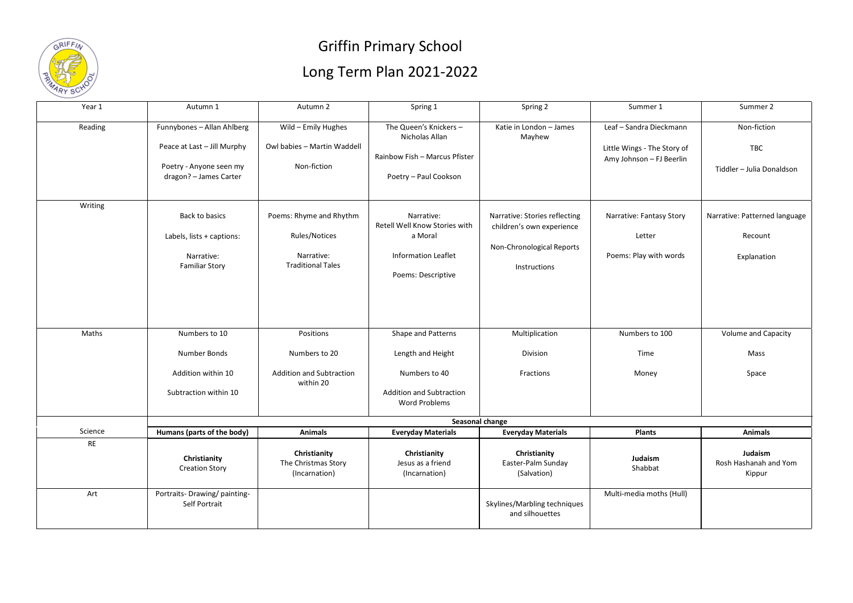

## Griffin Primary School Long Term Plan 2021-2022

| Year 1    | Autumn 1                                                                                                       | Autumn 2                                                                           | Spring 1                                                                                                            | Spring 2                                                                                                | Summer 1                                                                           | Summer 2                                                |  |  |  |
|-----------|----------------------------------------------------------------------------------------------------------------|------------------------------------------------------------------------------------|---------------------------------------------------------------------------------------------------------------------|---------------------------------------------------------------------------------------------------------|------------------------------------------------------------------------------------|---------------------------------------------------------|--|--|--|
| Reading   | Funnybones - Allan Ahlberg<br>Peace at Last - Jill Murphy<br>Poetry - Anyone seen my<br>dragon? - James Carter | Wild - Emily Hughes<br>Owl babies - Martin Waddell<br>Non-fiction                  | The Queen's Knickers -<br>Nicholas Allan<br>Rainbow Fish - Marcus Pfister<br>Poetry - Paul Cookson                  | Katie in London - James<br>Mayhew                                                                       | Leaf - Sandra Dieckmann<br>Little Wings - The Story of<br>Amy Johnson - FJ Beerlin | Non-fiction<br><b>TBC</b><br>Tiddler - Julia Donaldson  |  |  |  |
| Writing   | Back to basics<br>Labels, lists + captions:<br>Narrative:<br><b>Familiar Story</b>                             | Poems: Rhyme and Rhythm<br>Rules/Notices<br>Narrative:<br><b>Traditional Tales</b> | Narrative:<br>Retell Well Know Stories with<br>a Moral<br><b>Information Leaflet</b><br>Poems: Descriptive          | Narrative: Stories reflecting<br>children's own experience<br>Non-Chronological Reports<br>Instructions | Narrative: Fantasy Story<br>Letter<br>Poems: Play with words                       | Narrative: Patterned language<br>Recount<br>Explanation |  |  |  |
| Maths     | Numbers to 10<br>Number Bonds<br>Addition within 10<br>Subtraction within 10                                   | Positions<br>Numbers to 20<br>Addition and Subtraction<br>within 20                | Shape and Patterns<br>Length and Height<br>Numbers to 40<br><b>Addition and Subtraction</b><br><b>Word Problems</b> | Multiplication<br>Division<br>Fractions                                                                 | Numbers to 100<br>Time<br>Money                                                    | Volume and Capacity<br>Mass<br>Space                    |  |  |  |
|           | Seasonal change                                                                                                |                                                                                    |                                                                                                                     |                                                                                                         |                                                                                    |                                                         |  |  |  |
| Science   | Humans (parts of the body)                                                                                     | <b>Animals</b>                                                                     | <b>Everyday Materials</b>                                                                                           | <b>Everyday Materials</b>                                                                               | Plants                                                                             | <b>Animals</b>                                          |  |  |  |
| <b>RE</b> | Christianity<br><b>Creation Story</b>                                                                          | Christianity<br>The Christmas Story<br>(Incarnation)                               | Christianity<br>Jesus as a friend<br>(Incarnation)                                                                  | Christianity<br>Easter-Palm Sunday<br>(Salvation)                                                       | Judaism<br>Shabbat                                                                 | Judaism<br>Rosh Hashanah and Yom<br>Kippur              |  |  |  |
| Art       | Portraits- Drawing/ painting-<br>Self Portrait                                                                 |                                                                                    |                                                                                                                     | Skylines/Marbling techniques<br>and silhouettes                                                         | Multi-media moths (Hull)                                                           |                                                         |  |  |  |